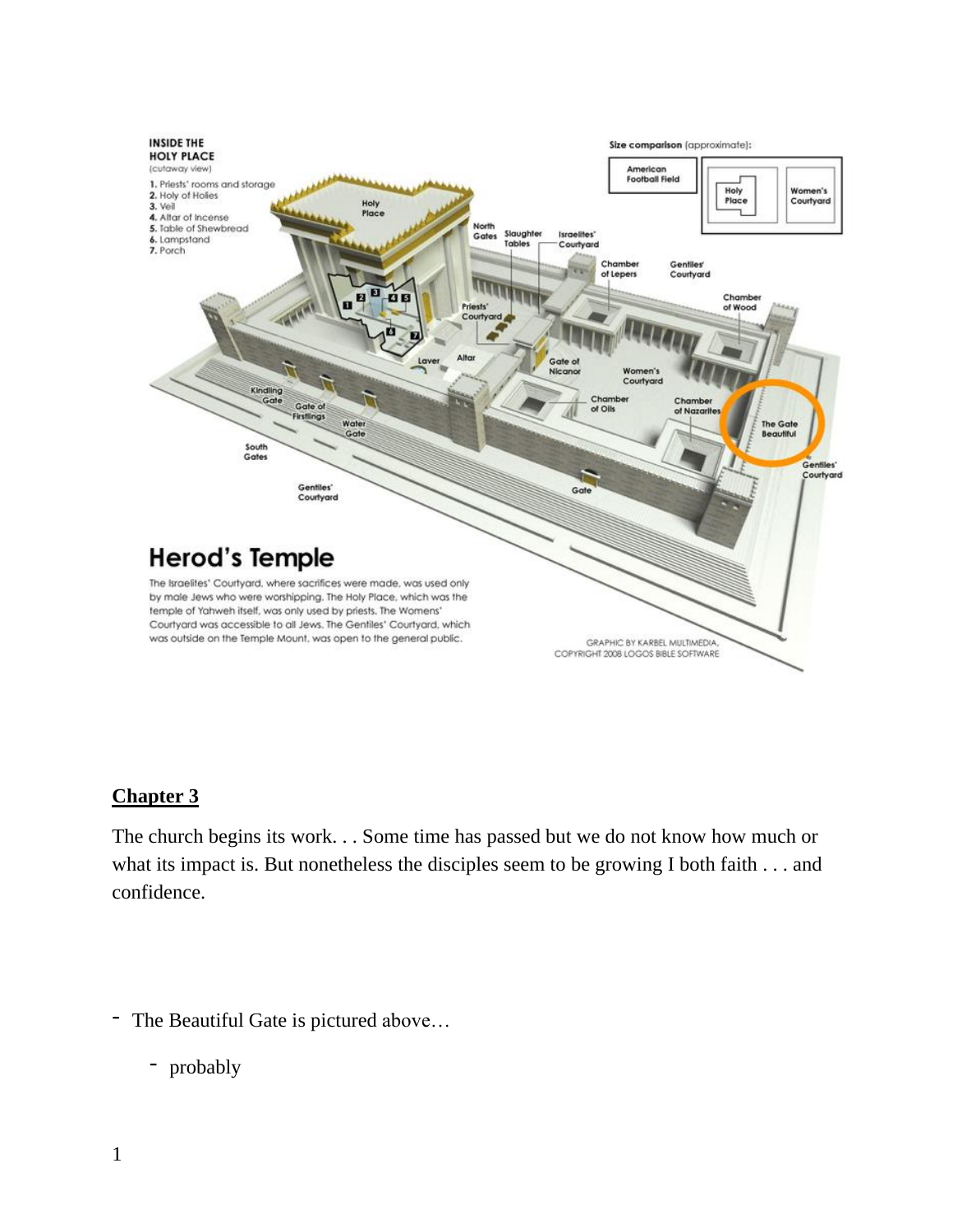

## **Chapter 3**

The church begins its work. . . Some time has passed but we do not know how much or what its impact is. But nonetheless the disciples seem to be growing I both faith . . . and confidence.

- The Beautiful Gate is pictured above…

- probably